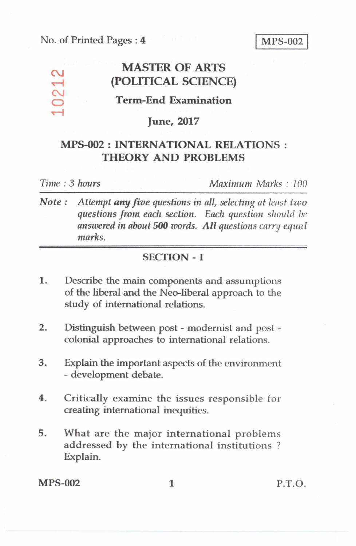#### No. of Printed Pages : 4 MPS-002

# MASTER OF ARTS<br>
(POLITICAL SCIENC<br>
Term-End Examination **(POLITICAL SCIENCE)**

# **Term-End Examination**

#### **June, 2017**

# **MPS-002 : INTERNATIONAL RELATIONS : THEORY AND PROBLEMS**

**T—I** 

*Time : 3 hours Maximum Marks : 100* 

*Note : Attempt* **any** *five questions in all, selecting at least tzvo questions from each section. Each question should be answered in about 500 words. All questions carry equal marks.* 

### SECTION - I

- 1. Describe the main components and assumptions of the liberal and the Neo-liberal approach to the study of international relations.
- 2. Distinguish between post modernist and post colonial approaches to international relations.
- 3. Explain the important aspects of the environment - development debate.
- 4. Critically examine the issues responsible for creating international inequities.
- 5. What are the major international problems addressed by the international institutions ? Explain.

MPS-002 1 P.T.O.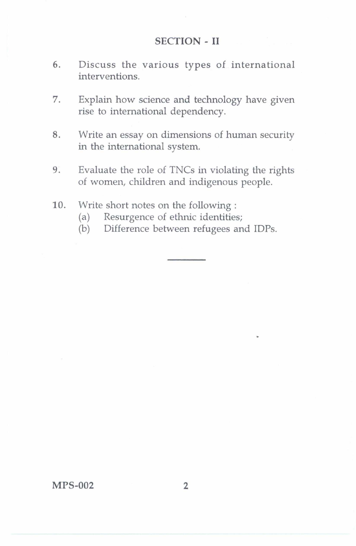#### **SECTION - II**

- 6. Discuss the various types of international interventions.
- 7. Explain how science and technology have given rise to international dependency.
- 8. Write an essay on dimensions of human security in the international system.
- 9. Evaluate the role of TNCs in violating the rights of women, children and indigenous people.
- 10. Write short notes on the following :
	- (a) Resurgence of ethnic identities;
	- (b) Difference between refugees and IDPs.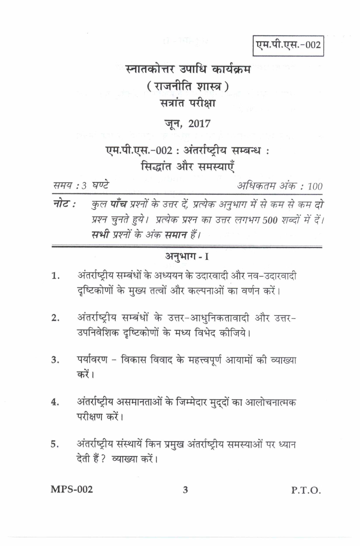एम.पी.एस.-002

# स्नातकोत्तर उपाधि कार्यक्रम ( राजनीति शास्त्र ) सत्रांत परीक्षा

# जून, 2017

# एम.पी.एस.-002: अंतर्राष्ट्रीय सम्बन्ध: सिद्धांत और समस्याएँ

समय: 3 घण्टे

अधिकतम अंक : 100

नोट : कुल **पाँच** प्रश्नों के उत्तर दें, प्रत्येक अनुभाग में से कम से कम दो प्रश्न चुनते हुये। प्रत्येक प्रश्न का उत्तर लगभग 500 शब्दों में दें। सभी प्रश्नों के अंक समान हैं।

# अनुभाग- I

- अंतर्राष्ट्रीय सम्बंधों के अध्ययन के उदारवादी और नव–उदारवादी 1. दृष्टिकोणों के मुख्य तत्वों और कल्पनाओं का वर्णन करें।
- अंतर्राष्ट्रीय सम्बंधों के उत्तर-आधुनिकतावादी और उत्तर- $2.$ उपनिवेशिक दृष्टिकोणों के मध्य विभेद कीजिये।
- पर्यावरण विकास विवाद के महत्त्वपूर्ण आयामों की व्याख्या  $3.$ करें।
- अंतर्राष्ट्रीय असमानताओं के जिम्मेदार मुद्दों का आलोचनात्मक 4. परीक्षण करें।
- अंतर्राष्ट्रीय संस्थायें किन प्रमुख अंतर्राष्ट्रीय समस्याओं पर ध्यान 5. देती हैं ? व्याख्या करें।

**MPS-002** 

P.T.O.